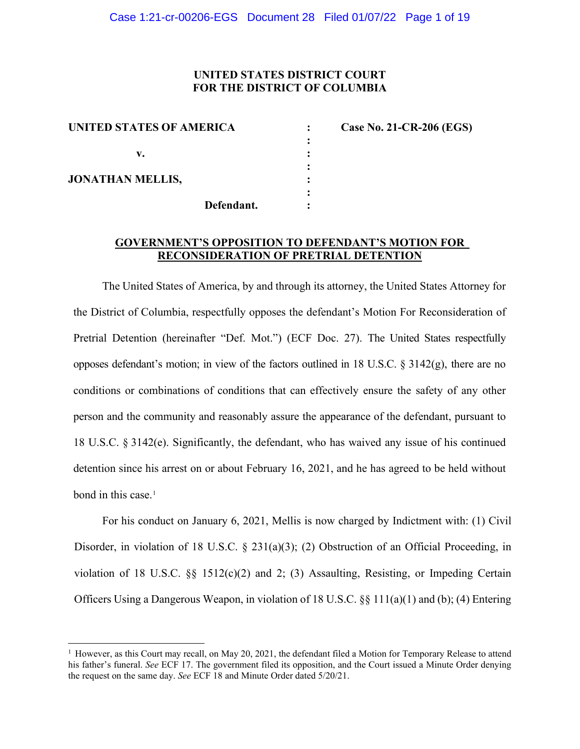# **UNITED STATES DISTRICT COURT FOR THE DISTRICT OF COLUMBIA**

**:**

| UNITED STATES OF AMERICA |  |  |
|--------------------------|--|--|
| v.                       |  |  |
| <b>JONATHAN MELLIS,</b>  |  |  |
| Defendant.               |  |  |

**: Case No. 21-CR-206 (EGS)** 

# **GOVERNMENT'S OPPOSITION TO DEFENDANT'S MOTION FOR RECONSIDERATION OF PRETRIAL DETENTION**

The United States of America, by and through its attorney, the United States Attorney for the District of Columbia, respectfully opposes the defendant's Motion For Reconsideration of Pretrial Detention (hereinafter "Def. Mot.") (ECF Doc. 27). The United States respectfully opposes defendant's motion; in view of the factors outlined in 18 U.S.C.  $\S 3142(g)$ , there are no conditions or combinations of conditions that can effectively ensure the safety of any other person and the community and reasonably assure the appearance of the defendant, pursuant to 18 U.S.C. § 3142(e). Significantly, the defendant, who has waived any issue of his continued detention since his arrest on or about February 16, 2021, and he has agreed to be held without bond in this case.<sup>1</sup>

For his conduct on January 6, 2021, Mellis is now charged by Indictment with: (1) Civil Disorder, in violation of 18 U.S.C.  $\S$  231(a)(3); (2) Obstruction of an Official Proceeding, in violation of 18 U.S.C.  $\S$  1512(c)(2) and 2; (3) Assaulting, Resisting, or Impeding Certain Officers Using a Dangerous Weapon, in violation of 18 U.S.C.  $\S$  111(a)(1) and (b); (4) Entering

<sup>&</sup>lt;sup>1</sup> However, as this Court may recall, on May 20, 2021, the defendant filed a Motion for Temporary Release to attend his father's funeral. *See* ECF 17. The government filed its opposition, and the Court issued a Minute Order denying the request on the same day. *See* ECF 18 and Minute Order dated 5/20/21.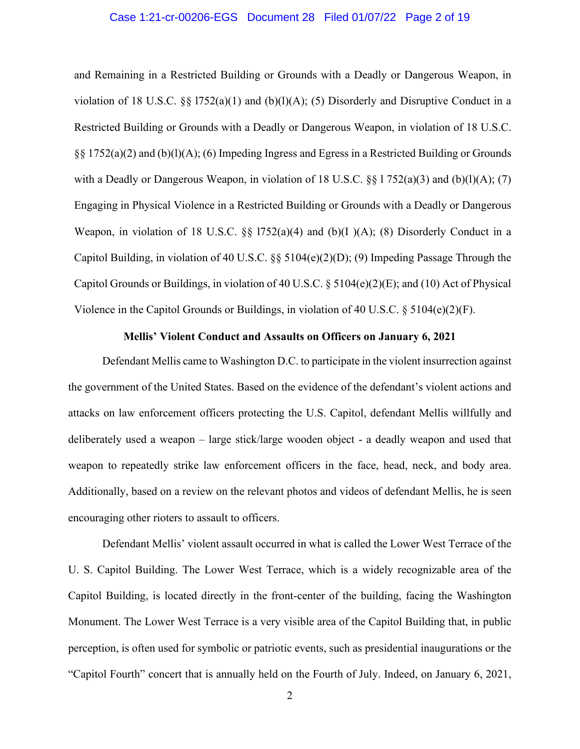## Case 1:21-cr-00206-EGS Document 28 Filed 01/07/22 Page 2 of 19

and Remaining in a Restricted Building or Grounds with a Deadly or Dangerous Weapon, in violation of 18 U.S.C. §§ l752(a)(1) and (b)(l)(A); (5) Disorderly and Disruptive Conduct in a Restricted Building or Grounds with a Deadly or Dangerous Weapon, in violation of 18 U.S.C. §§ 1752(a)(2) and (b)(l)(A); (6) Impeding Ingress and Egress in a Restricted Building or Grounds with a Deadly or Dangerous Weapon, in violation of 18 U.S.C.  $\S 1752(a)(3)$  and (b)(l)(A); (7) Engaging in Physical Violence in a Restricted Building or Grounds with a Deadly or Dangerous Weapon, in violation of 18 U.S.C.  $\S$  1752(a)(4) and (b)(I)(A); (8) Disorderly Conduct in a Capitol Building, in violation of 40 U.S.C. §§ 5104(e)(2)(D); (9) Impeding Passage Through the Capitol Grounds or Buildings, in violation of 40 U.S.C. § 5104(e)(2)(E); and (10) Act of Physical Violence in the Capitol Grounds or Buildings, in violation of 40 U.S.C.  $\S$  5104(e)(2)(F).

## **Mellis' Violent Conduct and Assaults on Officers on January 6, 2021**

Defendant Mellis came to Washington D.C. to participate in the violent insurrection against the government of the United States. Based on the evidence of the defendant's violent actions and attacks on law enforcement officers protecting the U.S. Capitol, defendant Mellis willfully and deliberately used a weapon – large stick/large wooden object - a deadly weapon and used that weapon to repeatedly strike law enforcement officers in the face, head, neck, and body area. Additionally, based on a review on the relevant photos and videos of defendant Mellis, he is seen encouraging other rioters to assault to officers.

Defendant Mellis' violent assault occurred in what is called the Lower West Terrace of the U. S. Capitol Building. The Lower West Terrace, which is a widely recognizable area of the Capitol Building, is located directly in the front-center of the building, facing the Washington Monument. The Lower West Terrace is a very visible area of the Capitol Building that, in public perception, is often used for symbolic or patriotic events, such as presidential inaugurations or the "Capitol Fourth" concert that is annually held on the Fourth of July. Indeed, on January 6, 2021,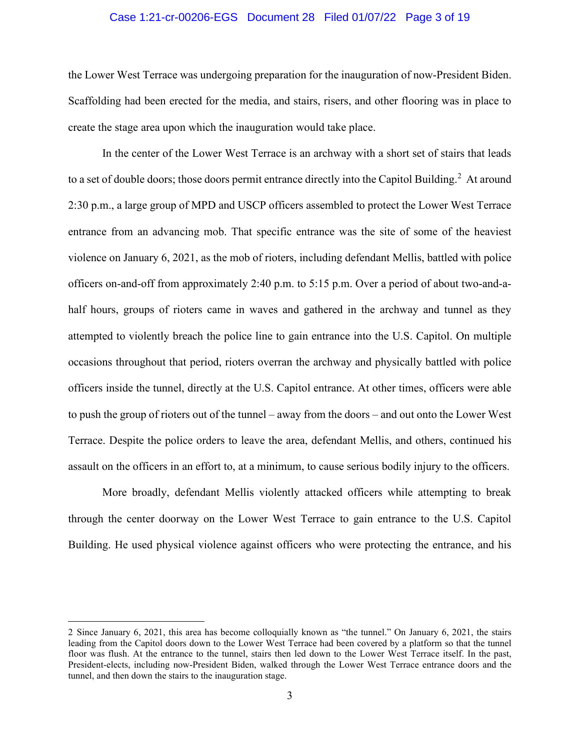## Case 1:21-cr-00206-EGS Document 28 Filed 01/07/22 Page 3 of 19

the Lower West Terrace was undergoing preparation for the inauguration of now-President Biden. Scaffolding had been erected for the media, and stairs, risers, and other flooring was in place to create the stage area upon which the inauguration would take place.

In the center of the Lower West Terrace is an archway with a short set of stairs that leads to a set of double doors; those doors permit entrance directly into the Capitol Building.<sup>2</sup> At around 2:30 p.m., a large group of MPD and USCP officers assembled to protect the Lower West Terrace entrance from an advancing mob. That specific entrance was the site of some of the heaviest violence on January 6, 2021, as the mob of rioters, including defendant Mellis, battled with police officers on-and-off from approximately 2:40 p.m. to 5:15 p.m. Over a period of about two-and-ahalf hours, groups of rioters came in waves and gathered in the archway and tunnel as they attempted to violently breach the police line to gain entrance into the U.S. Capitol. On multiple occasions throughout that period, rioters overran the archway and physically battled with police officers inside the tunnel, directly at the U.S. Capitol entrance. At other times, officers were able to push the group of rioters out of the tunnel – away from the doors – and out onto the Lower West Terrace. Despite the police orders to leave the area, defendant Mellis, and others, continued his assault on the officers in an effort to, at a minimum, to cause serious bodily injury to the officers.

More broadly, defendant Mellis violently attacked officers while attempting to break through the center doorway on the Lower West Terrace to gain entrance to the U.S. Capitol Building. He used physical violence against officers who were protecting the entrance, and his

<sup>2</sup> Since January 6, 2021, this area has become colloquially known as "the tunnel." On January 6, 2021, the stairs leading from the Capitol doors down to the Lower West Terrace had been covered by a platform so that the tunnel floor was flush. At the entrance to the tunnel, stairs then led down to the Lower West Terrace itself. In the past, President-elects, including now-President Biden, walked through the Lower West Terrace entrance doors and the tunnel, and then down the stairs to the inauguration stage.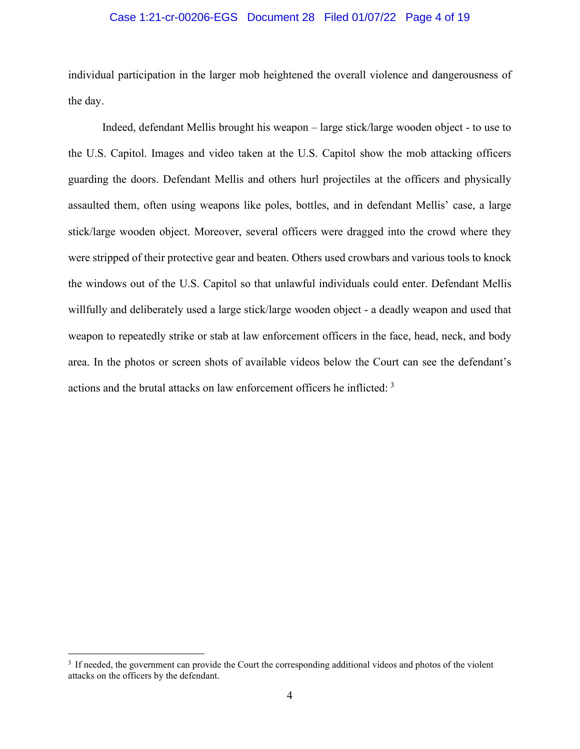## Case 1:21-cr-00206-EGS Document 28 Filed 01/07/22 Page 4 of 19

individual participation in the larger mob heightened the overall violence and dangerousness of the day.

Indeed, defendant Mellis brought his weapon – large stick/large wooden object - to use to the U.S. Capitol. Images and video taken at the U.S. Capitol show the mob attacking officers guarding the doors. Defendant Mellis and others hurl projectiles at the officers and physically assaulted them, often using weapons like poles, bottles, and in defendant Mellis' case, a large stick/large wooden object. Moreover, several officers were dragged into the crowd where they were stripped of their protective gear and beaten. Others used crowbars and various tools to knock the windows out of the U.S. Capitol so that unlawful individuals could enter. Defendant Mellis willfully and deliberately used a large stick/large wooden object - a deadly weapon and used that weapon to repeatedly strike or stab at law enforcement officers in the face, head, neck, and body area. In the photos or screen shots of available videos below the Court can see the defendant's actions and the brutal attacks on law enforcement officers he inflicted: <sup>3</sup>

<sup>&</sup>lt;sup>3</sup> If needed, the government can provide the Court the corresponding additional videos and photos of the violent attacks on the officers by the defendant.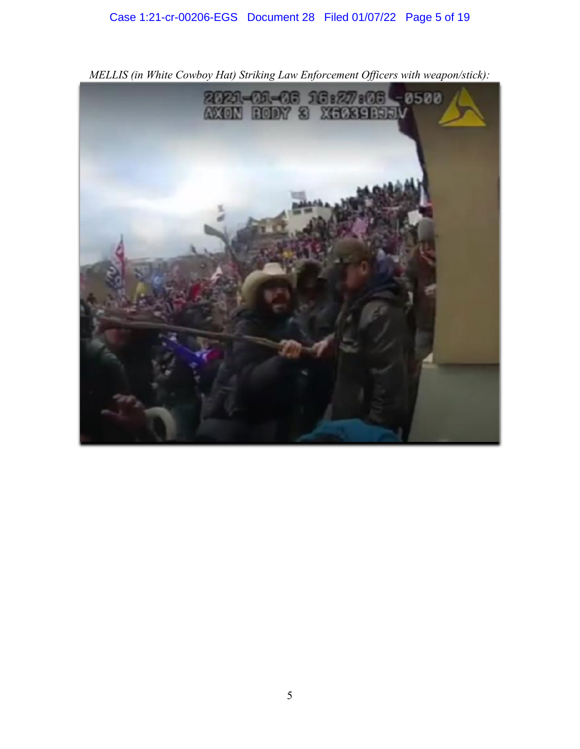# Case 1:21-cr-00206-EGS Document 28 Filed 01/07/22 Page 5 of 19



*MELLIS (in White Cowboy Hat) Striking Law Enforcement Officers with weapon/stick):*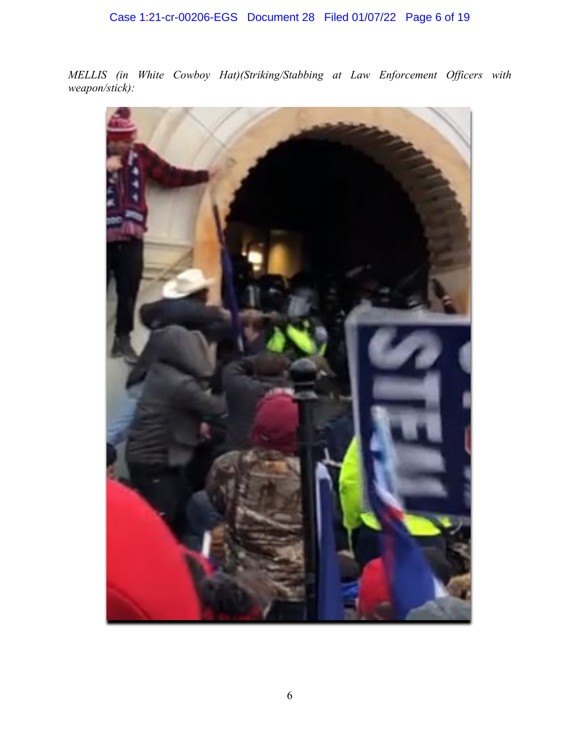*MELLIS (in White Cowboy Hat)(Striking/Stabbing at Law Enforcement Officers with weapon/stick):*

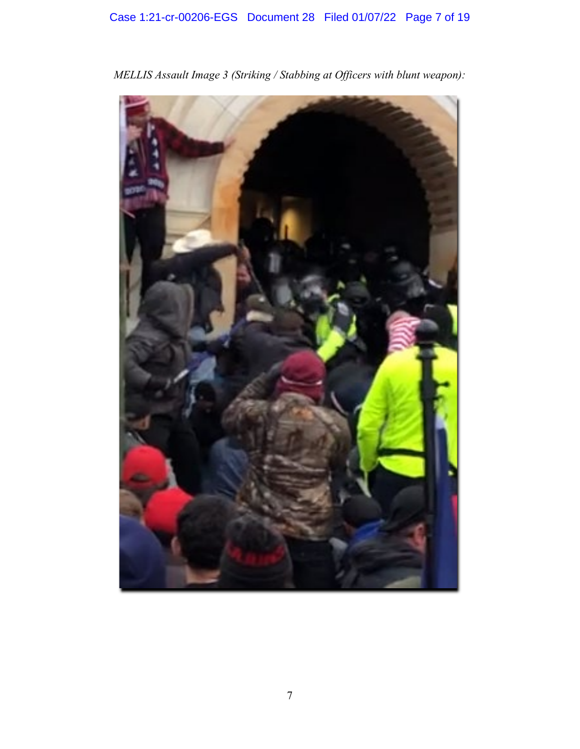

*MELLIS Assault Image 3 (Striking / Stabbing at Officers with blunt weapon):*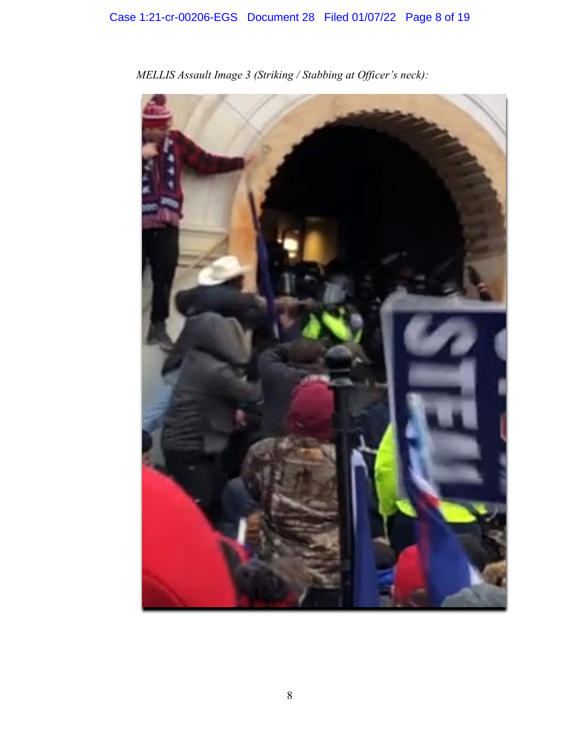

*MELLIS Assault Image 3 (Striking / Stabbing at Officer's neck):*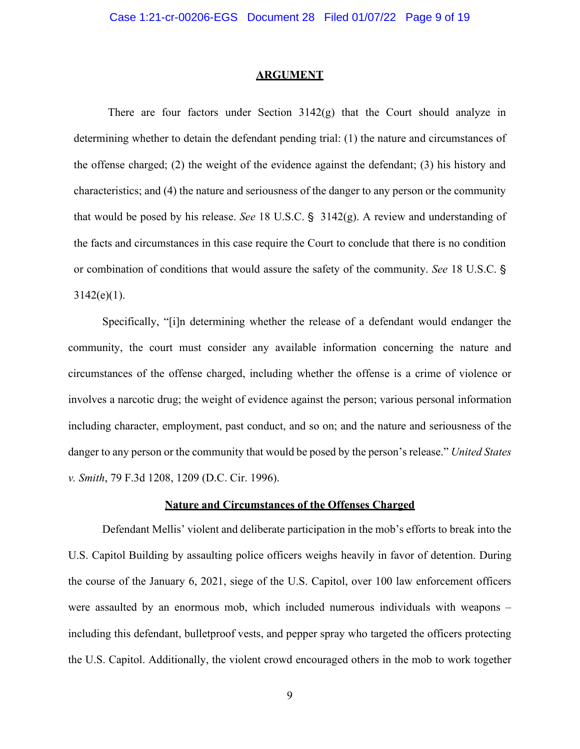#### **ARGUMENT**

There are four factors under Section  $3142(g)$  that the Court should analyze in determining whether to detain the defendant pending trial: (1) the nature and circumstances of the offense charged; (2) the weight of the evidence against the defendant; (3) his history and characteristics; and (4) the nature and seriousness of the danger to any person or the community that would be posed by his release. *See* 18 U.S.C. §  $3142(g)$ . A review and understanding of the facts and circumstances in this case require the Court to conclude that there is no condition or combination of conditions that would assure the safety of the community. *See* 18 U.S.C. '  $3142(e)(1)$ .

Specifically, "[i]n determining whether the release of a defendant would endanger the community, the court must consider any available information concerning the nature and circumstances of the offense charged, including whether the offense is a crime of violence or involves a narcotic drug; the weight of evidence against the person; various personal information including character, employment, past conduct, and so on; and the nature and seriousness of the danger to any person or the community that would be posed by the person's release." *United States v. Smith*, 79 F.3d 1208, 1209 (D.C. Cir. 1996).

## **Nature and Circumstances of the Offenses Charged**

Defendant Mellis' violent and deliberate participation in the mob's efforts to break into the U.S. Capitol Building by assaulting police officers weighs heavily in favor of detention. During the course of the January 6, 2021, siege of the U.S. Capitol, over 100 law enforcement officers were assaulted by an enormous mob, which included numerous individuals with weapons – including this defendant, bulletproof vests, and pepper spray who targeted the officers protecting the U.S. Capitol. Additionally, the violent crowd encouraged others in the mob to work together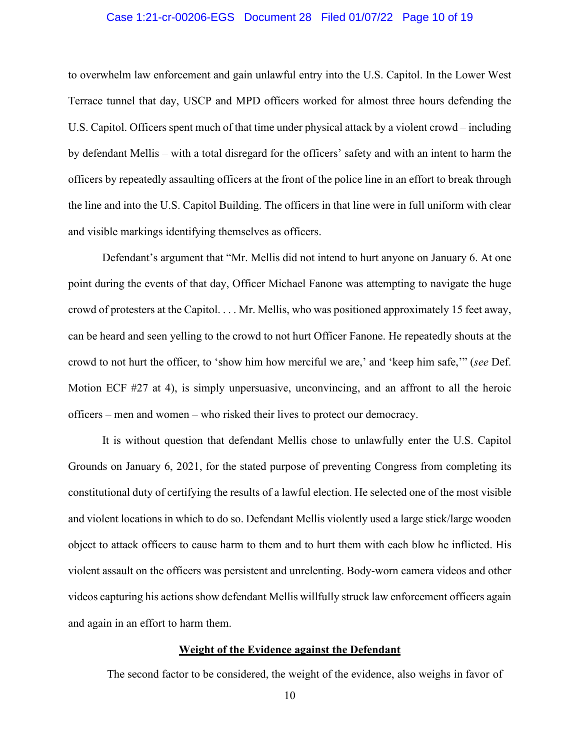## Case 1:21-cr-00206-EGS Document 28 Filed 01/07/22 Page 10 of 19

to overwhelm law enforcement and gain unlawful entry into the U.S. Capitol. In the Lower West Terrace tunnel that day, USCP and MPD officers worked for almost three hours defending the U.S. Capitol. Officers spent much of that time under physical attack by a violent crowd – including by defendant Mellis – with a total disregard for the officers' safety and with an intent to harm the officers by repeatedly assaulting officers at the front of the police line in an effort to break through the line and into the U.S. Capitol Building. The officers in that line were in full uniform with clear and visible markings identifying themselves as officers.

Defendant's argument that "Mr. Mellis did not intend to hurt anyone on January 6. At one point during the events of that day, Officer Michael Fanone was attempting to navigate the huge crowd of protesters at the Capitol. . . . Mr. Mellis, who was positioned approximately 15 feet away, can be heard and seen yelling to the crowd to not hurt Officer Fanone. He repeatedly shouts at the crowd to not hurt the officer, to 'show him how merciful we are,' and 'keep him safe,'" (*see* Def. Motion ECF #27 at 4), is simply unpersuasive, unconvincing, and an affront to all the heroic officers – men and women – who risked their lives to protect our democracy.

It is without question that defendant Mellis chose to unlawfully enter the U.S. Capitol Grounds on January 6, 2021, for the stated purpose of preventing Congress from completing its constitutional duty of certifying the results of a lawful election. He selected one of the most visible and violent locations in which to do so. Defendant Mellis violently used a large stick/large wooden object to attack officers to cause harm to them and to hurt them with each blow he inflicted. His violent assault on the officers was persistent and unrelenting. Body-worn camera videos and other videos capturing his actions show defendant Mellis willfully struck law enforcement officers again and again in an effort to harm them.

## **Weight of the Evidence against the Defendant**

The second factor to be considered, the weight of the evidence, also weighs in favor of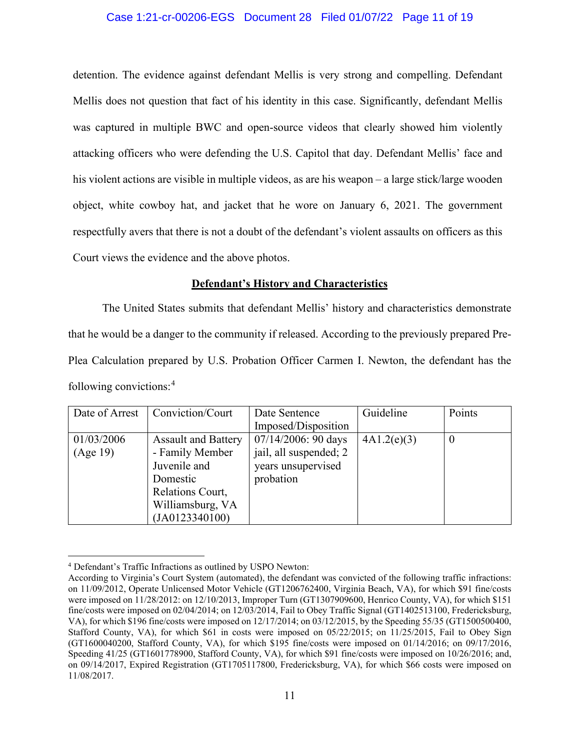# Case 1:21-cr-00206-EGS Document 28 Filed 01/07/22 Page 11 of 19

detention. The evidence against defendant Mellis is very strong and compelling. Defendant Mellis does not question that fact of his identity in this case. Significantly, defendant Mellis was captured in multiple BWC and open-source videos that clearly showed him violently attacking officers who were defending the U.S. Capitol that day. Defendant Mellis' face and his violent actions are visible in multiple videos, as are his weapon – a large stick/large wooden object, white cowboy hat, and jacket that he wore on January 6, 2021. The government respectfully avers that there is not a doubt of the defendant's violent assaults on officers as this Court views the evidence and the above photos.

## **Defendant's History and Characteristics**

The United States submits that defendant Mellis' history and characteristics demonstrate that he would be a danger to the community if released. According to the previously prepared Pre-Plea Calculation prepared by U.S. Probation Officer Carmen I. Newton, the defendant has the following convictions:<sup>4</sup>

| Date of Arrest | Conviction/Court           | Date Sentence          | Guideline   | Points   |
|----------------|----------------------------|------------------------|-------------|----------|
|                |                            | Imposed/Disposition    |             |          |
| 01/03/2006     | <b>Assault and Battery</b> | $07/14/2006$ : 90 days | 4A1.2(e)(3) | $\theta$ |
| (Age 19)       | - Family Member            | jail, all suspended; 2 |             |          |
|                | Juvenile and               | years unsupervised     |             |          |
|                | Domestic                   | probation              |             |          |
|                | Relations Court,           |                        |             |          |
|                | Williamsburg, VA           |                        |             |          |
|                | (JA0123340100)             |                        |             |          |

<sup>4</sup> Defendant's Traffic Infractions as outlined by USPO Newton:

According to Virginia's Court System (automated), the defendant was convicted of the following traffic infractions: on 11/09/2012, Operate Unlicensed Motor Vehicle (GT1206762400, Virginia Beach, VA), for which \$91 fine/costs were imposed on 11/28/2012: on 12/10/2013, Improper Turn (GT1307909600, Henrico County, VA), for which \$151 fine/costs were imposed on 02/04/2014; on 12/03/2014, Fail to Obey Traffic Signal (GT1402513100, Fredericksburg, VA), for which \$196 fine/costs were imposed on 12/17/2014; on 03/12/2015, by the Speeding 55/35 (GT1500500400, Stafford County, VA), for which \$61 in costs were imposed on 05/22/2015; on 11/25/2015, Fail to Obey Sign (GT1600040200, Stafford County, VA), for which \$195 fine/costs were imposed on 01/14/2016; on 09/17/2016, Speeding 41/25 (GT1601778900, Stafford County, VA), for which \$91 fine/costs were imposed on 10/26/2016; and, on 09/14/2017, Expired Registration (GT1705117800, Fredericksburg, VA), for which \$66 costs were imposed on 11/08/2017.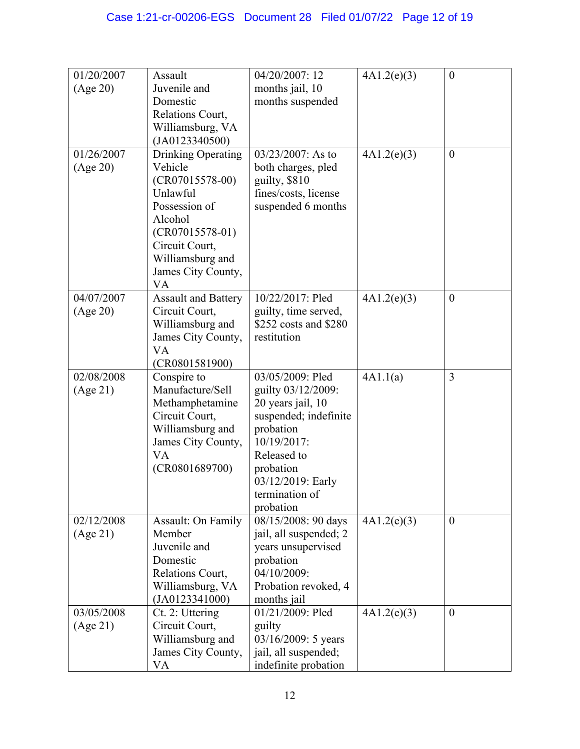| 01/20/2007 | Assault                         | 04/20/2007: 12                             | 4A1.2(e)(3) | $\boldsymbol{0}$ |
|------------|---------------------------------|--------------------------------------------|-------------|------------------|
| (Age 20)   | Juvenile and                    | months jail, 10                            |             |                  |
|            | Domestic                        | months suspended                           |             |                  |
|            | Relations Court,                |                                            |             |                  |
|            | Williamsburg, VA                |                                            |             |                  |
|            | (JA0123340500)                  |                                            |             |                  |
| 01/26/2007 | Drinking Operating              | $03/23/2007$ : As to                       | 4A1.2(e)(3) | $\boldsymbol{0}$ |
| (Age 20)   | Vehicle                         | both charges, pled                         |             |                  |
|            | $(CR07015578-00)$<br>Unlawful   | guilty, \$810                              |             |                  |
|            | Possession of                   | fines/costs, license<br>suspended 6 months |             |                  |
|            | Alcohol                         |                                            |             |                  |
|            | $(CR07015578-01)$               |                                            |             |                  |
|            | Circuit Court,                  |                                            |             |                  |
|            | Williamsburg and                |                                            |             |                  |
|            | James City County,              |                                            |             |                  |
|            | VA                              |                                            |             |                  |
| 04/07/2007 | <b>Assault and Battery</b>      | 10/22/2017: Pled                           | 4A1.2(e)(3) | $\boldsymbol{0}$ |
| (Age 20)   | Circuit Court,                  | guilty, time served,                       |             |                  |
|            | Williamsburg and                | \$252 costs and \$280                      |             |                  |
|            | James City County,              | restitution                                |             |                  |
|            | VA                              |                                            |             |                  |
| 02/08/2008 | (CR0801581900)                  |                                            |             | 3                |
| (Age 21)   | Conspire to<br>Manufacture/Sell | 03/05/2009: Pled<br>guilty 03/12/2009:     | 4A1.1(a)    |                  |
|            | Methamphetamine                 | 20 years jail, 10                          |             |                  |
|            | Circuit Court,                  | suspended; indefinite                      |             |                  |
|            | Williamsburg and                | probation                                  |             |                  |
|            | James City County,              | 10/19/2017:                                |             |                  |
|            | VA                              | Released to                                |             |                  |
|            | (CR0801689700)                  | probation                                  |             |                  |
|            |                                 | 03/12/2019: Early                          |             |                  |
|            |                                 | termination of                             |             |                  |
|            |                                 | probation                                  |             |                  |
| 02/12/2008 | <b>Assault: On Family</b>       | 08/15/2008: 90 days                        | 4A1.2(e)(3) | $\theta$         |
| (Age 21)   | Member                          | jail, all suspended; 2                     |             |                  |
|            | Juvenile and                    | years unsupervised                         |             |                  |
|            | Domestic<br>Relations Court,    | probation<br>04/10/2009:                   |             |                  |
|            | Williamsburg, VA                | Probation revoked, 4                       |             |                  |
|            | (JA0123341000)                  | months jail                                |             |                  |
| 03/05/2008 | Ct. 2: Uttering                 | 01/21/2009: Pled                           | 4A1.2(e)(3) | $\boldsymbol{0}$ |
| (Age 21)   | Circuit Court,                  | guilty                                     |             |                  |
|            | Williamsburg and                | 03/16/2009: 5 years                        |             |                  |
|            | James City County,              | jail, all suspended;                       |             |                  |
|            | VA                              | indefinite probation                       |             |                  |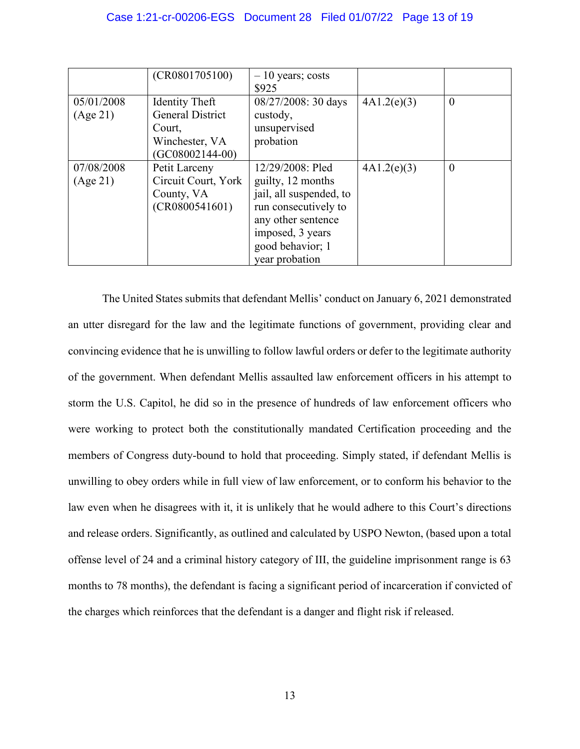|                        | (CR0801705100)                                                                             | $-10$ years; costs<br>\$925                                                                                                                                              |             |          |
|------------------------|--------------------------------------------------------------------------------------------|--------------------------------------------------------------------------------------------------------------------------------------------------------------------------|-------------|----------|
| 05/01/2008<br>(Age 21) | Identity Theft<br><b>General District</b><br>Court,<br>Winchester, VA<br>$(GC08002144-00)$ | 08/27/2008: 30 days<br>custody,<br>unsupervised<br>probation                                                                                                             | 4A1.2(e)(3) | $\theta$ |
| 07/08/2008<br>(Age 21) | Petit Larceny<br>Circuit Court, York<br>County, VA<br>(CR0800541601)                       | 12/29/2008: Pled<br>guilty, 12 months<br>jail, all suspended, to<br>run consecutively to<br>any other sentence<br>imposed, 3 years<br>good behavior; 1<br>year probation | 4A1.2(e)(3) | $\theta$ |

The United States submits that defendant Mellis' conduct on January 6, 2021 demonstrated an utter disregard for the law and the legitimate functions of government, providing clear and convincing evidence that he is unwilling to follow lawful orders or defer to the legitimate authority of the government. When defendant Mellis assaulted law enforcement officers in his attempt to storm the U.S. Capitol, he did so in the presence of hundreds of law enforcement officers who were working to protect both the constitutionally mandated Certification proceeding and the members of Congress duty-bound to hold that proceeding. Simply stated, if defendant Mellis is unwilling to obey orders while in full view of law enforcement, or to conform his behavior to the law even when he disagrees with it, it is unlikely that he would adhere to this Court's directions and release orders. Significantly, as outlined and calculated by USPO Newton, (based upon a total offense level of 24 and a criminal history category of III, the guideline imprisonment range is 63 months to 78 months), the defendant is facing a significant period of incarceration if convicted of the charges which reinforces that the defendant is a danger and flight risk if released.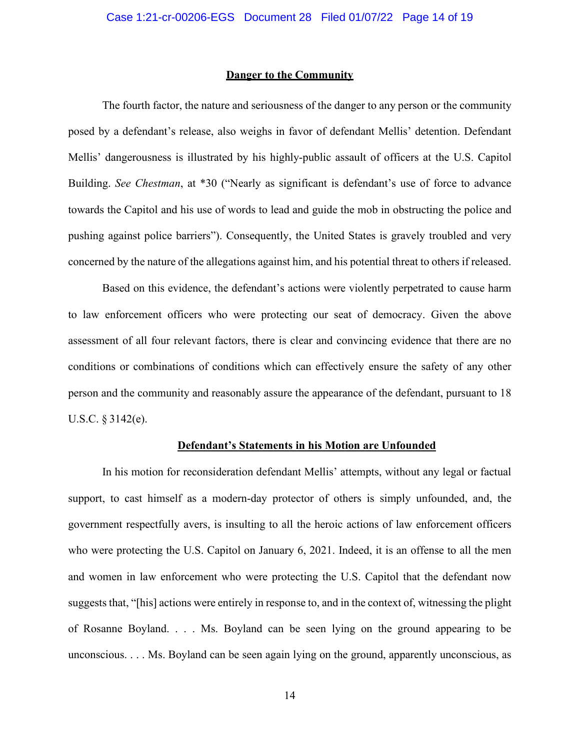#### **Danger to the Community**

The fourth factor, the nature and seriousness of the danger to any person or the community posed by a defendant's release, also weighs in favor of defendant Mellis' detention. Defendant Mellis' dangerousness is illustrated by his highly-public assault of officers at the U.S. Capitol Building. *See Chestman*, at \*30 ("Nearly as significant is defendant's use of force to advance towards the Capitol and his use of words to lead and guide the mob in obstructing the police and pushing against police barriers"). Consequently, the United States is gravely troubled and very concerned by the nature of the allegations against him, and his potential threat to others if released.

Based on this evidence, the defendant's actions were violently perpetrated to cause harm to law enforcement officers who were protecting our seat of democracy. Given the above assessment of all four relevant factors, there is clear and convincing evidence that there are no conditions or combinations of conditions which can effectively ensure the safety of any other person and the community and reasonably assure the appearance of the defendant, pursuant to 18 U.S.C. § 3142(e).

## **Defendant's Statements in his Motion are Unfounded**

In his motion for reconsideration defendant Mellis' attempts, without any legal or factual support, to cast himself as a modern-day protector of others is simply unfounded, and, the government respectfully avers, is insulting to all the heroic actions of law enforcement officers who were protecting the U.S. Capitol on January 6, 2021. Indeed, it is an offense to all the men and women in law enforcement who were protecting the U.S. Capitol that the defendant now suggests that, "[his] actions were entirely in response to, and in the context of, witnessing the plight of Rosanne Boyland. . . . Ms. Boyland can be seen lying on the ground appearing to be unconscious. . . . Ms. Boyland can be seen again lying on the ground, apparently unconscious, as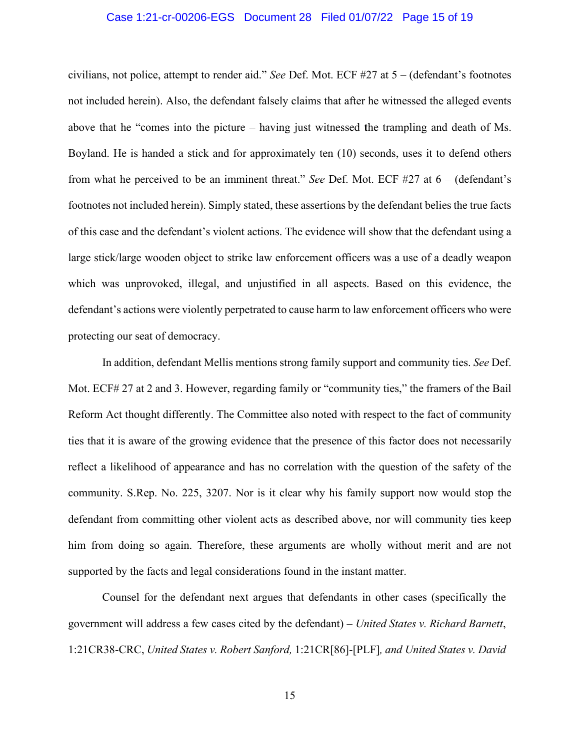## Case 1:21-cr-00206-EGS Document 28 Filed 01/07/22 Page 15 of 19

civilians, not police, attempt to render aid." *See* Def. Mot. ECF #27 at 5 – (defendant's footnotes not included herein). Also, the defendant falsely claims that after he witnessed the alleged events above that he "comes into the picture – having just witnessed the trampling and death of Ms. Boyland. He is handed a stick and for approximately ten (10) seconds, uses it to defend others from what he perceived to be an imminent threat." *See* Def. Mot. ECF #27 at 6 – (defendant's footnotes not included herein). Simply stated, these assertions by the defendant belies the true facts of this case and the defendant's violent actions. The evidence will show that the defendant using a large stick/large wooden object to strike law enforcement officers was a use of a deadly weapon which was unprovoked, illegal, and unjustified in all aspects. Based on this evidence, the defendant's actions were violently perpetrated to cause harm to law enforcement officers who were protecting our seat of democracy.

In addition, defendant Mellis mentions strong family support and community ties. *See* Def. Mot. ECF# 27 at 2 and 3. However, regarding family or "community ties," the framers of the Bail Reform Act thought differently. The Committee also noted with respect to the fact of community ties that it is aware of the growing evidence that the presence of this factor does not necessarily reflect a likelihood of appearance and has no correlation with the question of the safety of the community. S.Rep. No. 225, 3207. Nor is it clear why his family support now would stop the defendant from committing other violent acts as described above, nor will community ties keep him from doing so again. Therefore, these arguments are wholly without merit and are not supported by the facts and legal considerations found in the instant matter.

Counsel for the defendant next argues that defendants in other cases (specifically the government will address a few cases cited by the defendant) – *United States v. Richard Barnett*, 1:21CR38-CRC, *United States v. Robert Sanford,* 1:21CR[86]-[PLF]*, and United States v. David* 

15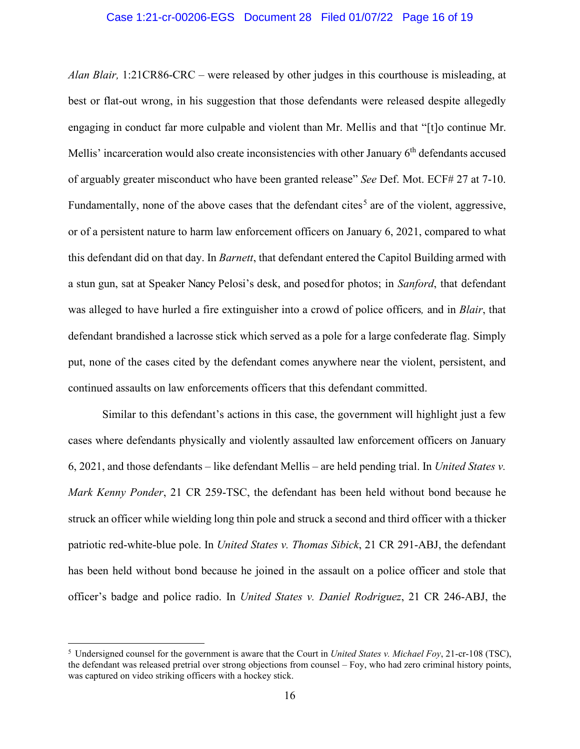## Case 1:21-cr-00206-EGS Document 28 Filed 01/07/22 Page 16 of 19

*Alan Blair,* 1:21CR86-CRC – were released by other judges in this courthouse is misleading, at best or flat-out wrong, in his suggestion that those defendants were released despite allegedly engaging in conduct far more culpable and violent than Mr. Mellis and that "[t]o continue Mr. Mellis' incarceration would also create inconsistencies with other January 6<sup>th</sup> defendants accused of arguably greater misconduct who have been granted release" *See* Def. Mot. ECF# 27 at 7-10. Fundamentally, none of the above cases that the defendant cites<sup>5</sup> are of the violent, aggressive, or of a persistent nature to harm law enforcement officers on January 6, 2021, compared to what this defendant did on that day. In *Barnett*, that defendant entered the Capitol Building armed with a stun gun, sat at Speaker Nancy Pelosi's desk, and posedfor photos; in *Sanford*, that defendant was alleged to have hurled a fire extinguisher into a crowd of police officers*,* and in *Blair*, that defendant brandished a lacrosse stick which served as a pole for a large confederate flag. Simply put, none of the cases cited by the defendant comes anywhere near the violent, persistent, and continued assaults on law enforcements officers that this defendant committed.

Similar to this defendant's actions in this case, the government will highlight just a few cases where defendants physically and violently assaulted law enforcement officers on January 6, 2021, and those defendants – like defendant Mellis – are held pending trial. In *United States v. Mark Kenny Ponder*, 21 CR 259-TSC, the defendant has been held without bond because he struck an officer while wielding long thin pole and struck a second and third officer with a thicker patriotic red-white-blue pole. In *United States v. Thomas Sibick*, 21 CR 291-ABJ, the defendant has been held without bond because he joined in the assault on a police officer and stole that officer's badge and police radio. In *United States v. Daniel Rodriguez*, 21 CR 246-ABJ, the

<sup>5</sup> Undersigned counsel for the government is aware that the Court in *United States v. Michael Foy*, 21-cr-108 (TSC), the defendant was released pretrial over strong objections from counsel – Foy, who had zero criminal history points, was captured on video striking officers with a hockey stick.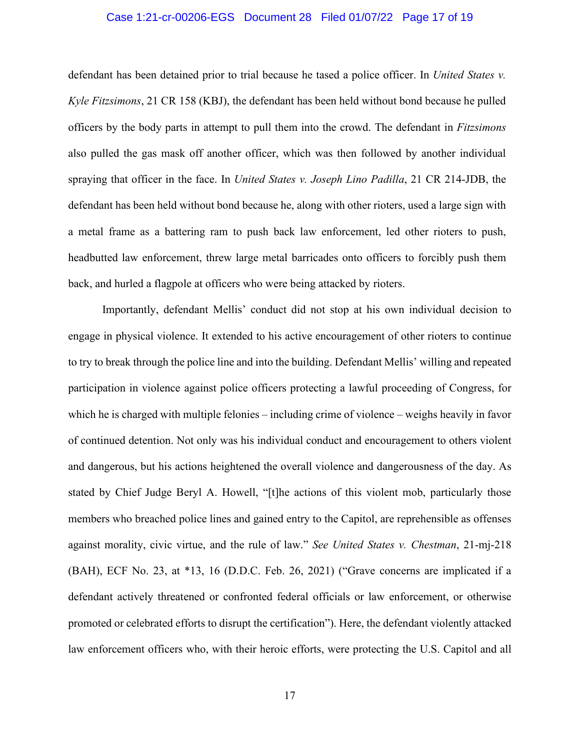## Case 1:21-cr-00206-EGS Document 28 Filed 01/07/22 Page 17 of 19

defendant has been detained prior to trial because he tased a police officer. In *United States v. Kyle Fitzsimons*, 21 CR 158 (KBJ), the defendant has been held without bond because he pulled officers by the body parts in attempt to pull them into the crowd. The defendant in *Fitzsimons* also pulled the gas mask off another officer, which was then followed by another individual spraying that officer in the face. In *United States v. Joseph Lino Padilla*, 21 CR 214-JDB, the defendant has been held without bond because he, along with other rioters, used a large sign with a metal frame as a battering ram to push back law enforcement, led other rioters to push, headbutted law enforcement, threw large metal barricades onto officers to forcibly push them back, and hurled a flagpole at officers who were being attacked by rioters.

Importantly, defendant Mellis' conduct did not stop at his own individual decision to engage in physical violence. It extended to his active encouragement of other rioters to continue to try to break through the police line and into the building. Defendant Mellis' willing and repeated participation in violence against police officers protecting a lawful proceeding of Congress, for which he is charged with multiple felonies – including crime of violence – weighs heavily in favor of continued detention. Not only was his individual conduct and encouragement to others violent and dangerous, but his actions heightened the overall violence and dangerousness of the day. As stated by Chief Judge Beryl A. Howell, "[t]he actions of this violent mob, particularly those members who breached police lines and gained entry to the Capitol, are reprehensible as offenses against morality, civic virtue, and the rule of law." *See United States v. Chestman*, 21-mj-218 (BAH), ECF No. 23, at \*13, 16 (D.D.C. Feb. 26, 2021) ("Grave concerns are implicated if a defendant actively threatened or confronted federal officials or law enforcement, or otherwise promoted or celebrated efforts to disrupt the certification"). Here, the defendant violently attacked law enforcement officers who, with their heroic efforts, were protecting the U.S. Capitol and all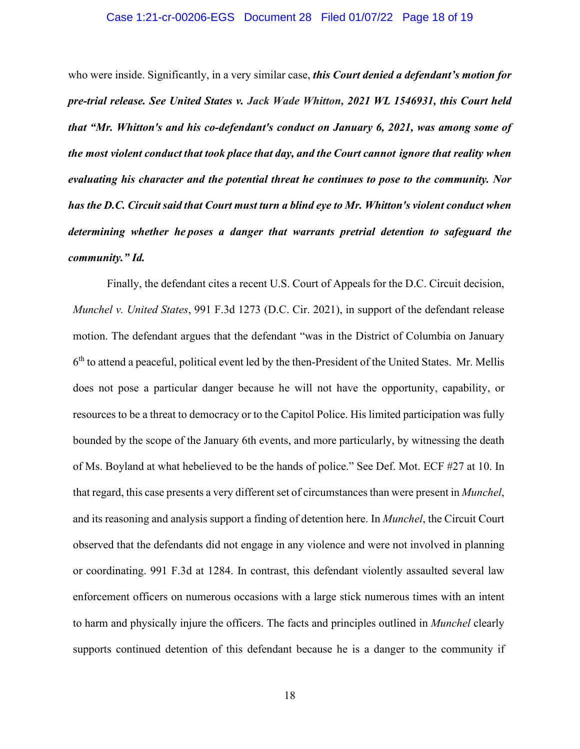### Case 1:21-cr-00206-EGS Document 28 Filed 01/07/22 Page 18 of 19

who were inside. Significantly, in a very similar case, *this Court denied a defendant's motion for pre-trial release. See United States v. Jack Wade Whitton, 2021 WL 1546931, this Court held that "Mr. Whitton's and his co-defendant's conduct on January 6, 2021, was among some of the most violent conduct that took place that day, and the Court cannot ignore that reality when evaluating his character and the potential threat he continues to pose to the community. Nor has the D.C. Circuit said that Court must turn a blind eye to Mr. Whitton's violent conduct when determining whether he poses a danger that warrants pretrial detention to safeguard the community." Id.* 

Finally, the defendant cites a recent U.S. Court of Appeals for the D.C. Circuit decision, *Munchel v. United States*, 991 F.3d 1273 (D.C. Cir. 2021), in support of the defendant release motion. The defendant argues that the defendant "was in the District of Columbia on January  $6<sup>th</sup>$  to attend a peaceful, political event led by the then-President of the United States. Mr. Mellis does not pose a particular danger because he will not have the opportunity, capability, or resources to be a threat to democracy or to the Capitol Police. His limited participation was fully bounded by the scope of the January 6th events, and more particularly, by witnessing the death of Ms. Boyland at what hebelieved to be the hands of police." See Def. Mot. ECF #27 at 10. In that regard, this case presents a very different set of circumstances than were present in *Munchel*, and its reasoning and analysis support a finding of detention here. In *Munchel*, the Circuit Court observed that the defendants did not engage in any violence and were not involved in planning or coordinating. 991 F.3d at 1284. In contrast, this defendant violently assaulted several law enforcement officers on numerous occasions with a large stick numerous times with an intent to harm and physically injure the officers. The facts and principles outlined in *Munchel* clearly supports continued detention of this defendant because he is a danger to the community if